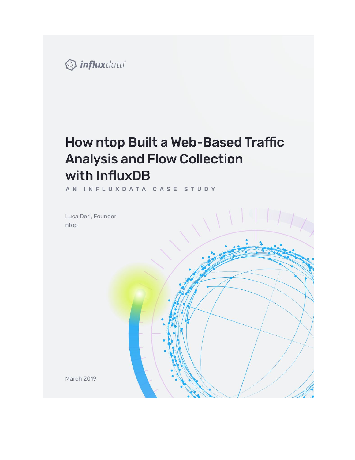

# How ntop Built a Web-Based Traffic **Analysis and Flow Collection** with InfluxDB

AN INFLUXDATA CASE STUDY

Luca Deri, Founder ntop



March 2019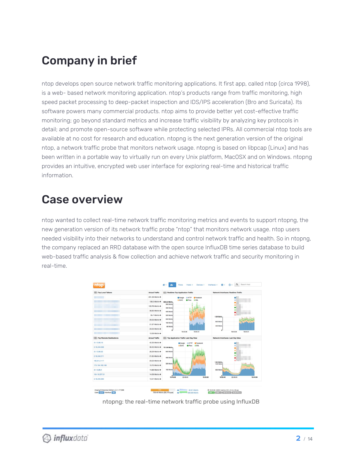# Company in brief

ntop develops open source network traffic monitoring applications. It first app, called ntop (circa 1998), is a web- based network monitoring application. ntop's products range from traffic monitoring, high speed packet processing to deep-packet inspection and IDS/IPS acceleration (Bro and Suricata). Its software powers many commercial products. ntop aims to provide better yet cost-effective traffic monitoring; go beyond standard metrics and increase traffic visibility by analyzing key protocols in detail; and promote open-source software while protecting selected IPRs. All commercial ntop tools are available at no cost for research and education. ntopng is the next generation version of the original ntop, a network traffic probe that monitors network usage. ntopng is based on libpcap (Linux) and has been written in a portable way to virtually run on every Unix platform, MacOSX and on Windows. ntopng provides an intuitive, encrypted web user interface for exploring real-time and historical traffic information.

## Case overview

ntop wanted to collect real-time network traffic monitoring metrics and events to support ntopng, the new generation version of its network traffic probe "ntop" that monitors network usage. ntop users needed visibility into their networks to understand and control network traffic and health. So in ntopng, the company replaced an RRD database with the open source InfluxDB time series database to build web-based traffic analysis & flow collection and achieve network traffic and security monitoring in real-time.

| <b>Top Local Talkers</b>  | <b>Actual Traffic</b>           | : Realtime Top Application Traffic                   | Network Interfaces: Realtime Traffic |
|---------------------------|---------------------------------|------------------------------------------------------|--------------------------------------|
|                           | 291.39 Mbit/s +                 | <b>G</b> Facebook<br>Gcogle<br><b>GHTTP</b>          |                                      |
|                           | 158.3 Mbit/s +                  | @SSL<br><b>OUIC</b><br>@ IPsec<br>608.22 Mbit/s      |                                      |
|                           | 153,76 Mbit/s +                 | 560 Mbit/s<br><b>480 Mbit/s</b>                      |                                      |
|                           | 36,65 Mbit/s $\bigtriangledown$ | <b>400 Mbh/s</b>                                     |                                      |
|                           | 35.7 Mbit/s 个                   | 320 Mbit/s                                           | 1.25 Gbit/s                          |
|                           | 29.53 Mbit/s +                  | 240 Mbit/s                                           | 800 Mbit/s                           |
|                           | 21.57 Mbit/s $\bigstar$         | 160 Mbit/s<br>80 Mbh/s                               | 400 Mbit/s                           |
|                           | 20.05 Mbit/s $\bigstar$         |                                                      |                                      |
|                           | 13,36 Mbit/s $\bigtriangledown$ | 18:43:38<br>18:44:51                                 | 18:43:38<br>18:44:51                 |
| : Top Remote Destinations | <b>Actual Traffic</b>           | : Top Application Traffic Last Day View              | Network Interfaces: Last Day View    |
| 31.13.86.15               | 42.35 Mbit/s +                  | Google<br>Facebook<br><b>OHTTP</b>                   |                                      |
| 2.18.240.208              | 36.35 Mbit/s $\bigtriangledown$ | <b>OUIC</b><br>@ SSL<br><b>Psec</b><br>751.56 Mbit/s |                                      |
| 31, 13, 86, 52            | 28.29 Mbit/s +                  | 640 Mbit/s                                           |                                      |
| 2.18.240.211              | 21.65 Mbit/s +                  | 480 Mbit/s                                           |                                      |
| 185.81.2.117              | 20.02 Mbit/s $\bigstar$         |                                                      | 1.84 Gbit/s                          |
| 173.194.182.168           | 15,75 Mbit/s 个                  | 320 Mbh/s                                            | 1.60 Gbit/s                          |
| 31,13,86.4                | 14.68 Mbit/s 个                  | 160 Mbit/s                                           | 800 Mbit/s                           |
| 104.16.227.51             | 14.06 Mbit/s 个                  | $\sim$                                               |                                      |
| 2.18.240.200              | 14.01 Mbit/s $\bigtriangledown$ | 03:46:40<br>18:35:00<br>18:45:00                     | 03:46:40<br>18:44:04<br>18:53:40     |
|                           |                                 |                                                      |                                      |

ntopng: the real-time network traffic probe using InfluxDB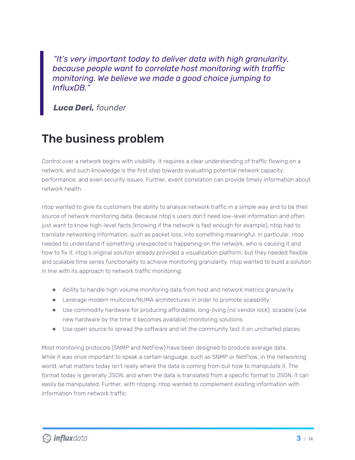*"It's very important today to deliver data with high granularity, because people want to correlate host monitoring with traffic monitoring. We believe we made a good choice jumping to InfluxDB."*

*Luca Deri, founder*

# The business problem

Control over a network begins with visibility. It requires a clear understanding of traffic flowing on a network, and such knowledge is the first step towards evaluating potential network capacity, performance, and even security issues. Further, event correlation can provide timely information about network health.

ntop wanted to give its customers the ability to analyze network traffic in a simple way and to be their source of network monitoring data. Because ntop's users don't need low-level information and often just want to know high-level facts (knowing if the network is fast enough for example), ntop had to translate networking information, such as packet loss, into something meaningful. In particular, ntop needed to understand if something unexpected is happening on the network, who is causing it and how to fix it. ntop's original solution already provided a visualization platform, but they needed flexible and scalable time series functionality to achieve monitoring granularity. ntop wanted to build a solution in line with its approach to network traffic monitoring:

- Ability to handle high volume monitoring data from host and network metrics granularity
- Leverage modern multicore/NUMA architectures in order to promote scalability
- Use commodity hardware for producing affordable, long-living (no vendor lock), scalable (use new hardware by the time it becomes available) monitoring solutions
- Use open source to spread the software and let the community test it on uncharted places

Most monitoring protocols (SNMP and NetFlow) have been designed to produce average data. While it was once important to speak a certain language, such as SNMP or NetFlow, in the networking world, what matters today isn't really where the data is coming from but how to manipulate it. The format today is generally JSON, and when the data is translated from a specific format to JSON, it can easily be manipulated. Further, with ntopng, ntop wanted to complement existing information with information from network traffic.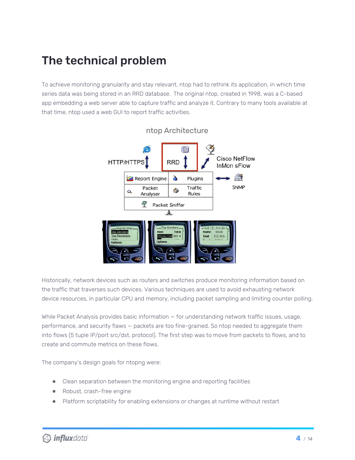# The technical problem

To achieve monitoring granularity and stay relevant, ntop had to rethink its application, in which time series data was being stored in an RRD database. The original ntop, created in 1998, was a C-based app embedding a web server able to capture traffic and analyze it. Contrary to many tools available at that time, ntop used a web GUI to report traffic activities.



Historically, network devices such as routers and switches produce monitoring information based on the traffic that traverses such devices. Various techniques are used to avoid exhausting network device resources, in particular CPU and memory, including packet sampling and limiting counter polling.

While Packet Analysis provides basic information — for understanding network traffic issues, usage, performance, and security flaws — packets are too fine-grained. So ntop needed to aggregate them into flows (5 tuple IP/port src/dst, protocol). The first step was to move from packets to flows, and to create and commute metrics on these flows.

The company's design goals for ntopng were:

- Clean separation between the monitoring engine and reporting facilities
- Robust, crash-free engine
- Platform scriptability for enabling extensions or changes at runtime without restart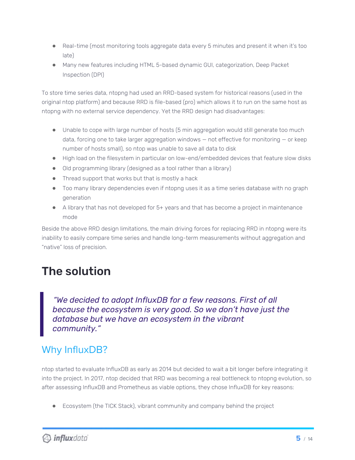- Real-time (most monitoring tools aggregate data every 5 minutes and present it when it's too late)
- Many new features including HTML 5-based dynamic GUI, categorization, Deep Packet Inspection (DPI)

To store time series data, ntopng had used an RRD-based system for historical reasons (used in the original ntop platform) and because RRD is file-based (pro) which allows it to run on the same host as ntopng with no external service dependency. Yet the RRD design had disadvantages:

- Unable to cope with large number of hosts (5 min aggregation would still generate too much data, forcing one to take larger aggregation windows — not effective for monitoring — or keep number of hosts small), so ntop was unable to save all data to disk
- High load on the filesystem in particular on low-end/embedded devices that feature slow disks
- Old programming library (designed as a tool rather than a library)
- Thread support that works but that is mostly a hack
- Too many library dependencies even if ntopng uses it as a time series database with no graph generation
- A library that has not developed for 5+ years and that has become a project in maintenance mode

Beside the above RRD design limitations, the main driving forces for replacing RRD in ntopng were its inability to easily compare time series and handle long-term measurements without aggregation and "native" loss of precision.

# The solution

*"We decided to adopt InfluxDB for a few reasons. First of all because the ecosystem is very good. So we don't have just the database but we have an ecosystem in the vibrant community."*

## Why InfluxDB?

ntop started to evaluate InfluxDB as early as 2014 but decided to wait a bit longer before integrating it into the project. In 2017, ntop decided that RRD was becoming a real bottleneck to ntopng evolution, so after assessing InfluxDB and Prometheus as viable options, they chose InfluxDB for key reasons:

● Ecosystem (the TICK Stack), vibrant community and company behind the project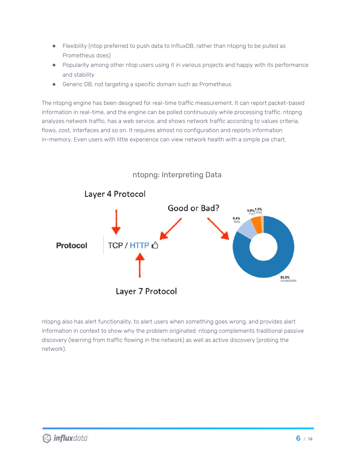- Flexibility (ntop preferred to push data to InfluxDB, rather than ntopng to be pulled as Prometheus does)
- Popularity among other ntop users using it in various projects and happy with its performance and stability
- Generic DB, not targeting a specific domain such as Prometheus

The ntopng engine has been designed for real-time traffic measurement. It can report packet-based information in real-time, and the engine can be polled continuously while processing traffic. ntopng analyzes network traffic, has a web service, and shows network traffic according to values criteria, flows, cost, interfaces and so on. It requires almost no configuration and reports information in-memory. Even users with little experience can view network health with a simple pie chart.



### ntopng also has alert functionality, to alert users when something goes wrong, and provides alert information in context to show why the problem originated. ntopng complements traditional passive discovery (learning from traffic flowing in the network) as well as active discovery (probing the network).

### **D** influxdata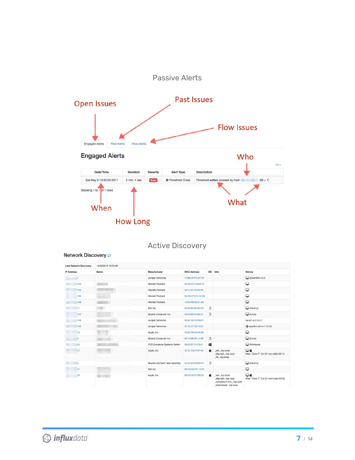



### Active Discovery

#### Network Discovery  $c$

| <b>Last Network Discovery</b> | 14/04/2018 10:55:48 |                                 |                    |           |                                                                                               |                                              |
|-------------------------------|---------------------|---------------------------------|--------------------|-----------|-----------------------------------------------------------------------------------------------|----------------------------------------------|
| <b>IP Address</b>             | Name                | Manufacturer                    | <b>MAC Address</b> | <b>OS</b> | Info                                                                                          | <b>Device</b>                                |
|                               |                     | Juniper Networks                | F4:B5:2F:FC:AF:F0  |           |                                                                                               | $\Box$ (OpenSSH_6.4)                         |
| .102                          |                     | <b>Hewlett Packard</b>          | B4:B5:2F:C9:69:7A  |           |                                                                                               | ₽                                            |
| .104                          |                     | <b>Hewlett Packard</b>          | 44:1E:A1:30:30:3D  |           |                                                                                               | ₽                                            |
| .105                          |                     | <b>Hewlett Packard</b>          | B4:B5:2F:CC:C4:6A  |           |                                                                                               | ₽                                            |
| .108                          |                     | <b>Hewlett Packard</b>          | 10:60:4B:6D:81:6D  |           |                                                                                               | ₽                                            |
| .11                           | <b>TILL</b>         | Dell Inc.                       | 64:00:6A:63:35:CC  | Ą         |                                                                                               | (Ubuntu)                                     |
| .124                          |                     | Quanta Computer Inc.            | 00:23:8B:42:88:37  | A         |                                                                                               | $\Box$ (Linux)                               |
| .125                          |                     | Juniper Networks                | 88:A2:5E:E6:BB:01  |           |                                                                                               | sw-p1-a-2.                                   |
| .126                          | m                   | Juniper Networks                | 5C:45:27:3D:14:01  |           |                                                                                               | ++ (jswitch-p0-m-1.                          |
| 13                            |                     | Apple, Inc.                     | A8:60:B6:00:4A:99  |           |                                                                                               | ₽                                            |
| $\overline{2}$                |                     | Quanta Computer Inc.            | 00:1E:68:2F:11:6D  | A         |                                                                                               | $\Box$ (Linux)                               |
| 22                            |                     | PCS Computer Systems GmbH       | 08:00:27:F4:C8:01  | 疅         |                                                                                               | (Windows)                                    |
| 27                            |                     | Apple, Inc.                     | 3C:07:54:2F:67:65  | ú         | ssh. tcp.local<br>_sftp-ssh._tcp.local<br>_rfb._tcp.local                                     | ⊟∉<br>iMac "Core i7" 3.4 27-Inch (Mid-2011)  |
| l3                            |                     | Realtek (UpTech? also reported) | 52:54:00:E6:BB:FE  | A         |                                                                                               | $\Box$ (Ubuntu)                              |
| 31                            |                     | Dell Inc.                       | BC:30:5B:9C:15:02  |           |                                                                                               | ₽                                            |
| .32                           |                     | Apple, Inc.                     | 68:5B:35:97:BB:22  | αŕ        | _ssh._tcp.local<br>sftp-ssh. tcp.local<br>companion-link. tcp.local<br>_teamviewer._tcp.local | □≐<br>iMac "Core i7" 3.5 27-Inch (Late 2013) |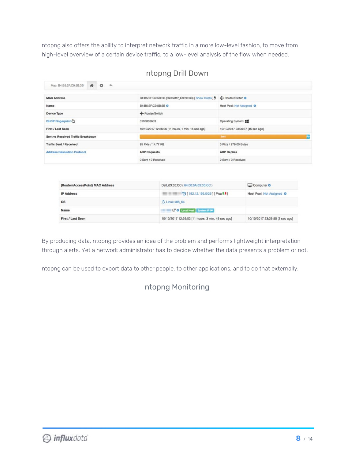ntopng also offers the ability to interpret network traffic in a more low-level fashion, to move from high-level overview of a certain device traffic, to a low-level analysis of the flow when needed.

| Mac: B4:B5:2F:C9:5B:3B             | $\bullet$<br>骨<br>$\rightarrow$ |                                                   |                                  |
|------------------------------------|---------------------------------|---------------------------------------------------|----------------------------------|
| <b>MAC Address</b>                 |                                 |                                                   |                                  |
| Name                               |                                 | B4:B5:2F:C9:5B:3B &                               | Host Pool: Not Assigned O        |
| Device Type                        |                                 | + Router/Switch                                   |                                  |
| DHCP Fingerprint                   |                                 | 0103063633                                        | Operating System:                |
| First / Last Seen                  |                                 | 10/10/2017 12:26:06 [11 hours, 1 min, 16 sec ago] | 10/10/2017 23:26:37 [45 sec ago] |
| Sent vs Received Traffic Breakdown |                                 |                                                   | Rc<br>Sent:                      |
| <b>Traffic Sent / Received</b>     |                                 | 95 Pkts / 14,77 KB                                | 3 Pkts / 279.00 Bytes            |
| <b>Address Resolution Protocol</b> |                                 | <b>ARP Requests</b>                               | <b>ARP Replies</b>               |
|                                    |                                 | 0 Sent / 0 Received                               | 2 Sent / 0 Received              |

### ntopng Drill Down

| (Router/AccessPoint) MAC Address | Dell 63:35:CC (64:00:6A:63:35:CC)                 | Computer &                      |
|----------------------------------|---------------------------------------------------|---------------------------------|
| <b>IP Address</b>                | D [192.12.193.0/25] [Pisa 11]                     | Host Pool: Not Assigned $\Phi$  |
| <b>OS</b>                        | Linux x86 64                                      |                                 |
| Name                             | <b>CO Local Host</b> System IP                    |                                 |
| First / Last Seen                | 10/10/2017 12:26:03 [11 hours, 3 min, 49 sec ago] | 10/10/2017 23:29:50 [2 sec ago] |

By producing data, ntopng provides an idea of the problem and performs lightweight interpretation through alerts. Yet a network administrator has to decide whether the data presents a problem or not.

ntopng can be used to export data to other people, to other applications, and to do that externally.

### ntopng Monitoring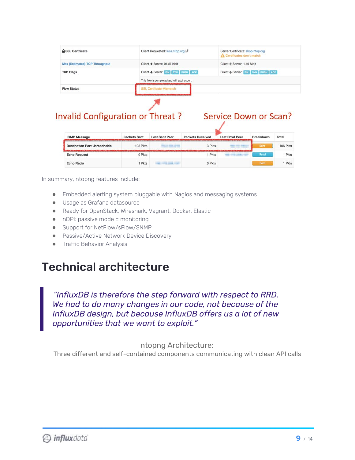| A SSL Certificate                     | Client Requested: luca.ntop.org C            | Server Certificate: shop.ntop.org<br>Certificates don't match |  |
|---------------------------------------|----------------------------------------------|---------------------------------------------------------------|--|
| <b>Max (Estimated) TCP Throughput</b> | Client → Server: 91.57 Kbit                  | Client ← Server: 1.49 Mbit                                    |  |
| <b>TCP Flags</b>                      | Client → Server: FIN SYN PUSH ACK            | Client ← Server: FIN SYN PUSH ACK                             |  |
|                                       | This flow is completed and will expire soon. |                                                               |  |
| <b>Flow Status</b>                    | SSL Certificate Mismatch                     |                                                               |  |
|                                       |                                              |                                                               |  |

### **Invalid Configuration or Threat?**

### **Service Down or Scan?**

| <b>ICMP Message</b>                 | <b>Packets Sent</b> | <b>Last Sent Peer</b> | <b>Packets Received</b> | <b>Last Rcvd Peer</b> | Breakdown | Total    |
|-------------------------------------|---------------------|-----------------------|-------------------------|-----------------------|-----------|----------|
| <b>Destination Port Unreachable</b> | 103 Pkts            |                       | 3 Pkts                  |                       | Sent      | 106 Pkts |
| <b>Echo Request</b>                 | 0 Pkts              |                       | 1 Pkts                  |                       | Royd      | Pkts     |
| <b>Echo Reply</b>                   | <b>Pkts</b>         | 12, 1997              | 0 Pkts                  |                       | Sent      | Pkts     |

In summary, ntopng features include:

- Embedded alerting system pluggable with Nagios and messaging systems
- Usage as Grafana datasource
- Ready for OpenStack, Wireshark, Vagrant, Docker, Elastic
- nDPI: passive mode = monitoring
- Support for NetFlow/sFlow/SNMP
- Passive/Active Network Device Discovery
- **•** Traffic Behavior Analysis

## Technical architecture

*"InfluxDB is therefore the step forward with respect to RRD. We had to do many changes in our code, not because of the InfluxDB design, but because InfluxDB offers us a lot of new opportunities that we want to exploit."*

#### ntopng Architecture:

Three different and self-contained components communicating with clean API calls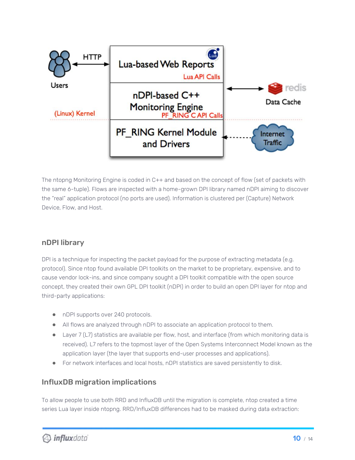

The ntopng Monitoring Engine is coded in C++ and based on the concept of flow (set of packets with the same 6-tuple). Flows are inspected with a home-grown DPI library named nDPI aiming to discover the "real" application protocol (no ports are used). Information is clustered per (Capture) Network Device, Flow, and Host.

### nDPI library

DPI is a technique for inspecting the packet payload for the purpose of extracting metadata (e.g. protocol). Since ntop found available DPI toolkits on the market to be proprietary, expensive, and to cause vendor lock-ins, and since company sought a DPI toolkit compatible with the open source concept, they created their own GPL DPI toolkit (nDPI) in order to build an open DPI layer for ntop and third-party applications:

- nDPI supports over 240 protocols.
- All flows are analyzed through nDPI to associate an application protocol to them.
- Layer 7 (L7) statistics are available per flow, host, and interface (from which monitoring data is received). L7 refers to the topmost layer of the Open Systems Interconnect Model known as the application layer (the layer that supports end-user processes and applications).
- For network interfaces and local hosts, nDPI statistics are saved persistently to disk.

### InfluxDB migration implications

To allow people to use both RRD and InfluxDB until the migration is complete, ntop created a time series Lua layer inside ntopng. RRD/InfluxDB differences had to be masked during data extraction: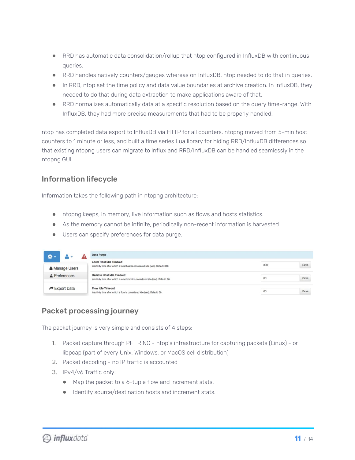- RRD has automatic data consolidation/rollup that ntop configured in InfluxDB with continuous queries.
- RRD handles natively counters/gauges whereas on InfluxDB, ntop needed to do that in queries.
- In RRD, ntop set the time policy and data value boundaries at archive creation. In InfluxDB, they needed to do that during data extraction to make applications aware of that.
- RRD normalizes automatically data at a specific resolution based on the query time-range. With InfluxDB, they had more precise measurements that had to be properly handled.

ntop has completed data export to InfluxDB via HTTP for all counters. ntopng moved from 5-min host counters to 1 minute or less, and built a time series Lua library for hiding RRD/InfluxDB differences so that existing ntopng users can migrate to Influx and RRD/InfluxDB can be handled seamlessly in the ntopng GUI.

### Information lifecycle

Information takes the following path in ntopng architecture:

- ntopng keeps, in memory, live information such as flows and hosts statistics.
- As the memory cannot be infinite, periodically non-recent information is harvested.
- Users can specify preferences for data purge.

| <b>a</b> -                |                |                                                                                                       | Data Purge                                                                                                          |             |
|---------------------------|----------------|-------------------------------------------------------------------------------------------------------|---------------------------------------------------------------------------------------------------------------------|-------------|
|                           | & Manage Users |                                                                                                       | <b>Local Host Idle Timeout</b><br>Inactivity time after which a local host is considered idle (sec). Default: 300.  | Save<br>300 |
| $\Delta$ Preferences      |                |                                                                                                       | <b>Remote Host Idle Timeout</b><br>Inactivity time after which a remote host is considered idle (sec). Default: 60. | Save<br>60  |
| $\rightarrow$ Export Data |                | <b>Flow Idle Timeout</b><br>Inactivity time after which a flow is considered idle (sec). Default: 60. |                                                                                                                     | Save<br>60  |

### Packet processing journey

The packet journey is very simple and consists of 4 steps:

- 1. Packet capture through PF\_RING ntop's infrastructure for capturing packets (Linux) or libpcap (part of every Unix, Windows, or MacOS cell distribution)
- 2. Packet decoding no IP traffic is accounted
- 3. IPv4/v6 Traffic only:
	- Map the packet to a 6-tuple flow and increment stats.
	- Identify source/destination hosts and increment stats.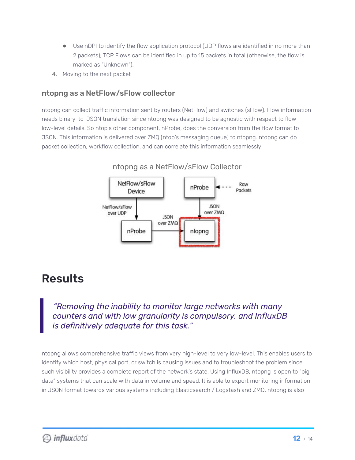- Use nDPI to identify the flow application protocol (UDP flows are identified in no more than 2 packets); TCP Flows can be identified in up to 15 packets in total (otherwise, the flow is marked as "Unknown").
- 4. Moving to the next packet

### ntopng as a NetFlow/sFlow collector

ntopng can collect traffic information sent by routers (NetFlow) and switches (sFlow). Flow information needs binary-to-JSON translation since ntopng was designed to be agnostic with respect to flow low-level details. So ntop's other component, nProbe, does the conversion from the flow format to JSON. This information is delivered over ZMQ (ntop's messaging queue) to ntopng. ntopng can do packet collection, workflow collection, and can correlate this information seamlessly.



#### ntopng as a NetFlow/sFlow Collector

## Results

### *"Removing the inability to monitor large networks with many counters and with low granularity is compulsory, and InfluxDB is definitively adequate for this task."*

ntopng allows comprehensive traffic views from very high-level to very low-level. This enables users to identify which host, physical port, or switch is causing issues and to troubleshoot the problem since such visibility provides a complete report of the network's state. Using InfluxDB, ntopng is open to "big data" systems that can scale with data in volume and speed. It is able to export monitoring information in JSON format towards various systems including Elasticsearch / Logstash and ZMQ. ntopng is also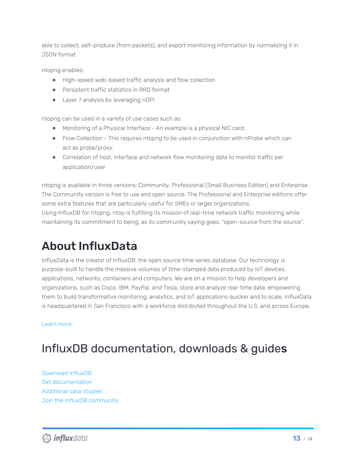able to collect, self-produce (from packets), and export monitoring information by normalizing it in JSON format.

ntopng enables:

- High-speed web-based traffic analysis and flow collection
- Persistent traffic statistics in RRD format
- Layer 7 analysis by leveraging nDPI

ntopng can be used in a variety of use cases such as:

- Monitoring of a Physical Interface An example is a physical NIC card.
- Flow Collection This requires ntopng to be used in conjunction with nProbe which can act as probe/proxy.
- Correlation of host, interface and network flow monitoring data to monitor traffic per application/user

ntopng is available in three versions: Community, Professional (Small Business Edition) and Enterprise. The Community version is free to use and open source. The Professional and Enterprise editions offer some extra features that are particularly useful for SMEs or larger organizations.

Using InfluxDB for ntopng, ntop is fulfilling its mission of real-time network traffic monitoring while maintaining its commitment to being, as its community saying goes, "open-source from the source".

# About InfluxData

InfluxData is the creator of InfluxDB, the open source time series database. Our technology is purpose-built to handle the massive volumes of time-stamped data produced by IoT devices, applications, networks, containers and computers. We are on a mission to help developers and organizations, such as Cisco, IBM, PayPal, and Tesla, store and analyze real-time data, empowering them to build transformative monitoring, analytics, and IoT applications quicker and to scale. InfluxData is headquartered in San Francisco with a workforce distributed throughout the U.S. and across Europe.

[Learn](http://www.influxdata.com/) more.

## InfluxDB documentation, downloads & guides

[Download](https://influxdata.com/get-influxdb/) InfluxDB Get [documentation](https://docs.influxdata.com/) [Additional](https://www.influxdata.com/_resources/) case studies Join the InfluxDB [community](https://www.influxdata.com/community-showcase/)